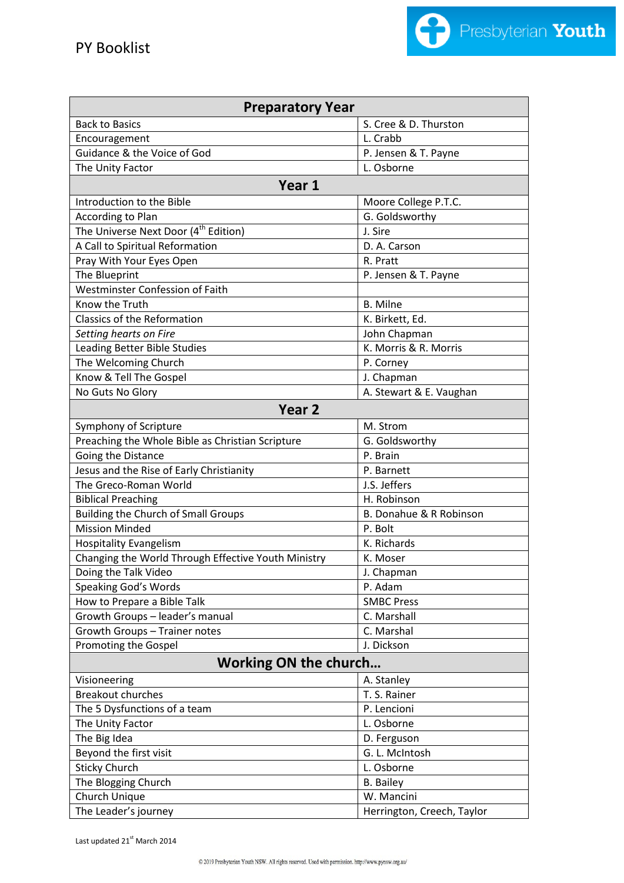

| <b>Preparatory Year</b>                             |                            |  |
|-----------------------------------------------------|----------------------------|--|
| <b>Back to Basics</b>                               | S. Cree & D. Thurston      |  |
| Encouragement                                       | L. Crabb                   |  |
| Guidance & the Voice of God                         | P. Jensen & T. Payne       |  |
| The Unity Factor                                    | L. Osborne                 |  |
| Year 1                                              |                            |  |
| Introduction to the Bible                           | Moore College P.T.C.       |  |
| <b>According to Plan</b>                            | G. Goldsworthy             |  |
| The Universe Next Door (4 <sup>th</sup> Edition)    | J. Sire                    |  |
| A Call to Spiritual Reformation                     | D. A. Carson               |  |
| Pray With Your Eyes Open                            | R. Pratt                   |  |
| The Blueprint                                       | P. Jensen & T. Payne       |  |
| Westminster Confession of Faith                     |                            |  |
| Know the Truth                                      | <b>B.</b> Milne            |  |
| Classics of the Reformation                         | K. Birkett, Ed.            |  |
| Setting hearts on Fire                              | John Chapman               |  |
| Leading Better Bible Studies                        | K. Morris & R. Morris      |  |
| The Welcoming Church                                | P. Corney                  |  |
| Know & Tell The Gospel                              | J. Chapman                 |  |
| No Guts No Glory                                    | A. Stewart & E. Vaughan    |  |
| Year <sub>2</sub>                                   |                            |  |
| Symphony of Scripture                               | M. Strom                   |  |
| Preaching the Whole Bible as Christian Scripture    | G. Goldsworthy             |  |
| Going the Distance                                  | P. Brain                   |  |
| Jesus and the Rise of Early Christianity            | P. Barnett                 |  |
| The Greco-Roman World                               | J.S. Jeffers               |  |
| <b>Biblical Preaching</b>                           | H. Robinson                |  |
| <b>Building the Church of Small Groups</b>          | B. Donahue & R Robinson    |  |
| <b>Mission Minded</b>                               | P. Bolt                    |  |
| <b>Hospitality Evangelism</b>                       | K. Richards                |  |
| Changing the World Through Effective Youth Ministry | K. Moser                   |  |
| Doing the Talk Video                                | J. Chapman                 |  |
| Speaking God's Words                                | P. Adam                    |  |
| How to Prepare a Bible Talk                         | <b>SMBC Press</b>          |  |
| Growth Groups - leader's manual                     | C. Marshall                |  |
| Growth Groups - Trainer notes                       | C. Marshal                 |  |
| Promoting the Gospel                                | J. Dickson                 |  |
| <b>Working ON the church</b>                        |                            |  |
| Visioneering                                        | A. Stanley                 |  |
| <b>Breakout churches</b>                            | T. S. Rainer               |  |
| The 5 Dysfunctions of a team                        | P. Lencioni                |  |
| The Unity Factor                                    | L. Osborne                 |  |
| The Big Idea                                        | D. Ferguson                |  |
| Beyond the first visit                              | G. L. McIntosh             |  |
| <b>Sticky Church</b>                                | L. Osborne                 |  |
| The Blogging Church                                 | <b>B.</b> Bailey           |  |
| Church Unique                                       | W. Mancini                 |  |
| The Leader's journey                                | Herrington, Creech, Taylor |  |